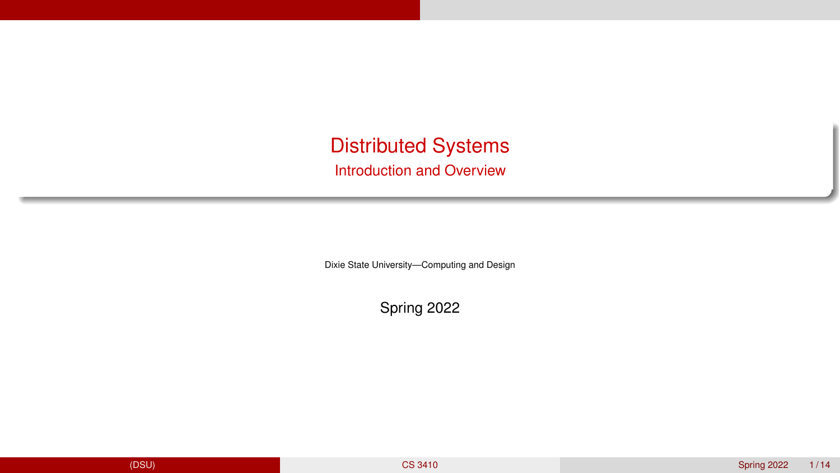<span id="page-0-0"></span>Distributed Systems Introduction and Overview

Dixie State University—Computing and Design

Spring 2022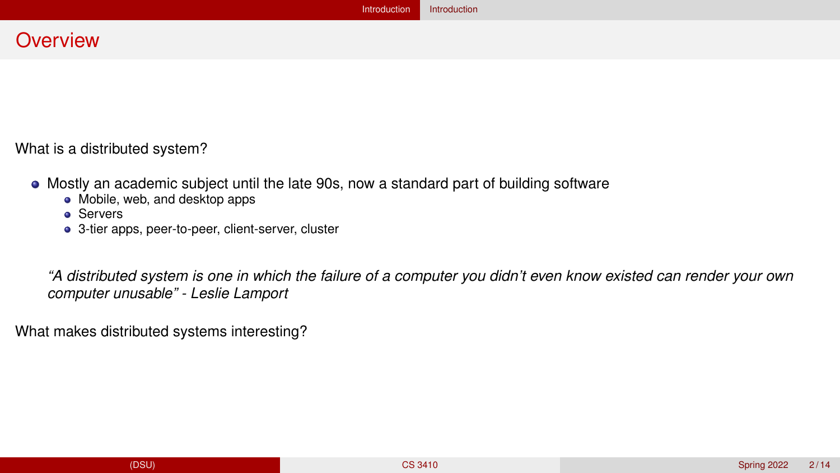## <span id="page-1-0"></span>**Overview**

What is a distributed system?

- Mostly an academic subject until the late 90s, now a standard part of building software
	- Mobile, web, and desktop apps
	- **A** Servers
	- 3-tier apps, peer-to-peer, client-server, cluster

*"A distributed system is one in which the failure of a computer you didn't even know existed can render your own computer unusable" - Leslie Lamport*

What makes distributed systems interesting?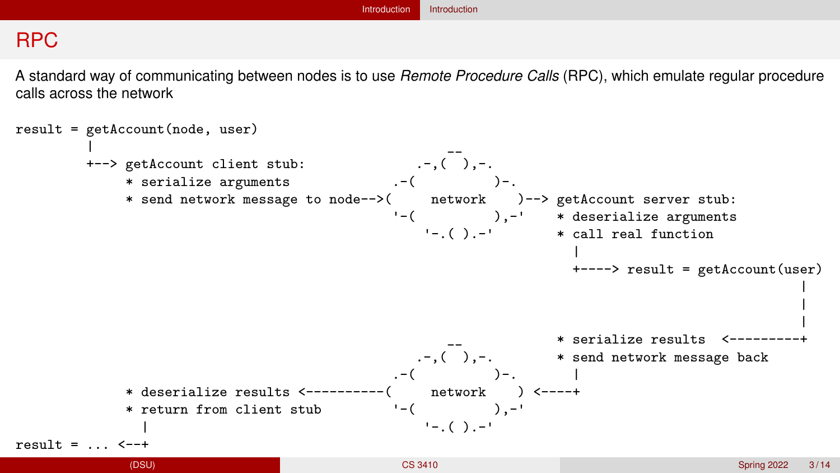# RPC

A standard way of communicating between nodes is to use *Remote Procedure Calls* (RPC), which emulate regular procedure calls across the network

```
result = getAccount(node, user)
                                          (-, (
), -.<br>
(-, (
)+--> getAccount client stub:
             * serialize arguments
             * send network message to node-->( network )--> getAccount server stub:
                                            '-( ),-' * deserialize arguments
                                                '-( ) -' * call real function
                                                                  |
                                                                  +----> result = getAccount(user)
                                                                                              |
                                                                                              |
                                                                                              |
                                                                __ * serialize results <---------+
                                                .-,( ),-. * send network message back
                                             . -( )-. |
             * deserialize results <----------( network ) <----+
             * return from client stub
                                            \frac{1-(1-\frac{1}{2})^{n-1}}{1-\frac{1}{2}(\frac{1}{2})^{n-1}}result = . . . < -++CS 3410                         Spring 2022  3/14
```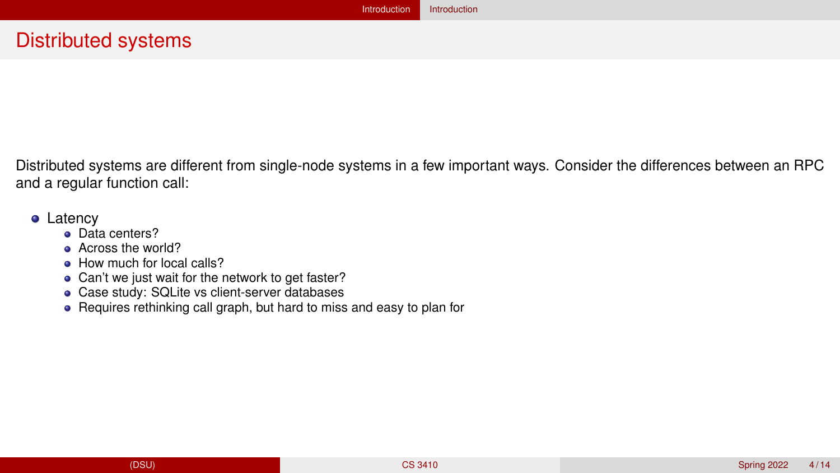## Distributed systems

Distributed systems are different from single-node systems in a few important ways. Consider the differences between an RPC and a regular function call:

#### • Latency

- **o** Data centers?
- **Across the world?**
- How much for local calls?
- Can't we just wait for the network to get faster?
- Case study: SQLite vs client-server databases
- Requires rethinking call graph, but hard to miss and easy to plan for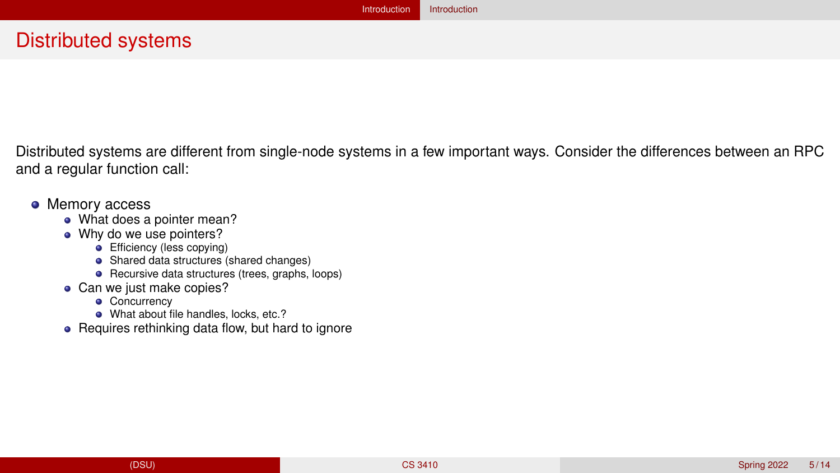Distributed systems are different from single-node systems in a few important ways. Consider the differences between an RPC and a regular function call:

#### • Memory access

- What does a pointer mean?
- Why do we use pointers?
	- **Efficiency (less copying)**
	- Shared data structures (shared changes)
	- Recursive data structures (trees, graphs, loops)
- Can we just make copies?
	- Concurrency
	- What about file handles, locks, etc.?
- Requires rethinking data flow, but hard to ignore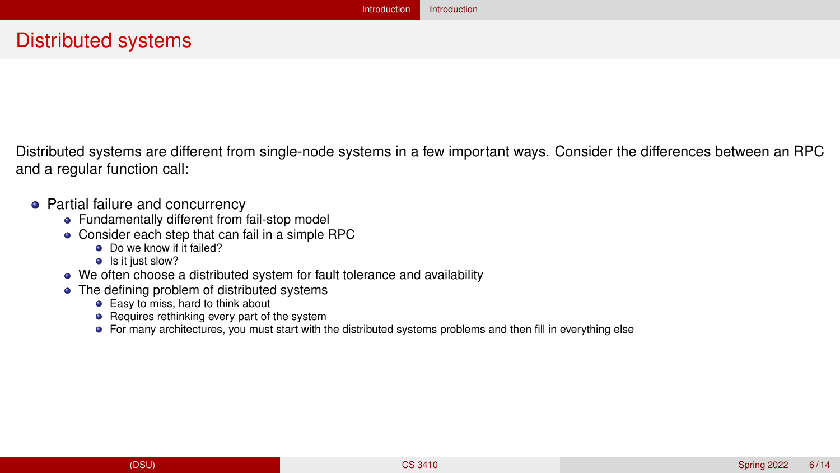# Distributed systems

Distributed systems are different from single-node systems in a few important ways. Consider the differences between an RPC and a regular function call:

- Partial failure and concurrency
	- Fundamentally different from fail-stop model
	- Consider each step that can fail in a simple RPC
		- **O** Do we know if it failed?
		- Is it just slow?
	- We often choose a distributed system for fault tolerance and availability
	- The defining problem of distributed systems
		- **•** Easy to miss, hard to think about
		- Requires rethinking every part of the system
		- For many architectures, you must start with the distributed systems problems and then fill in everything else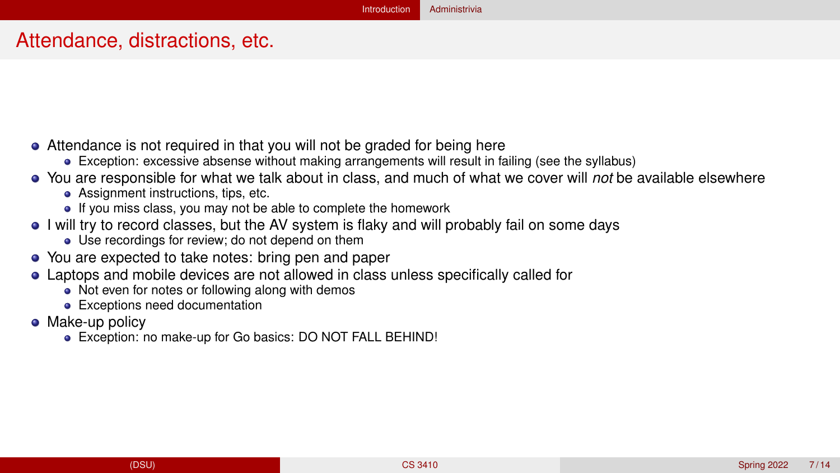## <span id="page-6-0"></span>Attendance, distractions, etc.

- Attendance is not required in that you will not be graded for being here
	- Exception: excessive absense without making arrangements will result in failing (see the syllabus)
- You are responsible for what we talk about in class, and much of what we cover will *not* be available elsewhere
	- Assignment instructions, tips, etc.
	- If you miss class, you may not be able to complete the homework
- I will try to record classes, but the AV system is flaky and will probably fail on some days
	- Use recordings for review; do not depend on them
- You are expected to take notes: bring pen and paper
- Laptops and mobile devices are not allowed in class unless specifically called for
	- Not even for notes or following along with demos
	- **•** Exceptions need documentation
- Make-up policy
	- Exception: no make-up for Go basics: DO NOT FALL BEHIND!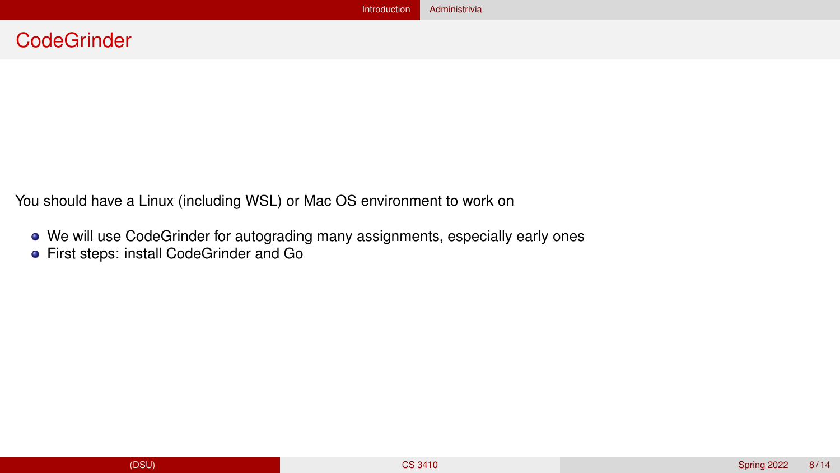You should have a Linux (including WSL) or Mac OS environment to work on

- We will use CodeGrinder for autograding many assignments, especially early ones
- **•** First steps: install CodeGrinder and Go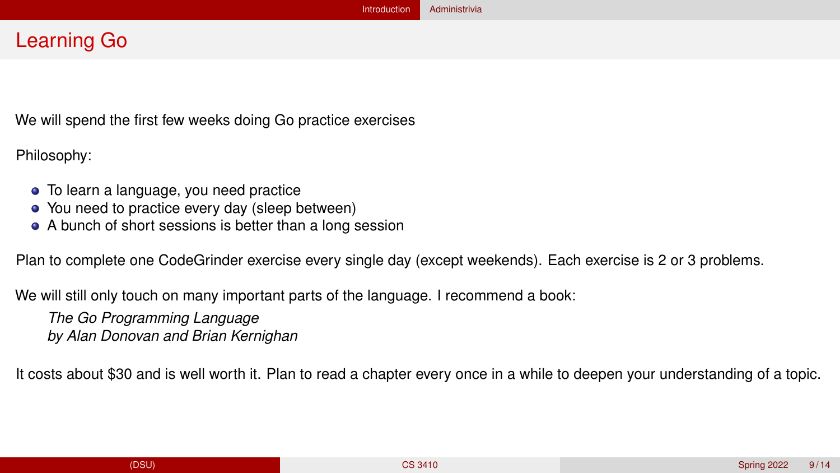# Learning Go

We will spend the first few weeks doing Go practice exercises

Philosophy:

- To learn a language, you need practice
- You need to practice every day (sleep between)
- A bunch of short sessions is better than a long session

Plan to complete one CodeGrinder exercise every single day (except weekends). Each exercise is 2 or 3 problems.

We will still only touch on many important parts of the language. I recommend a book:

*The Go Programming Language by Alan Donovan and Brian Kernighan*

It costs about \$30 and is well worth it. Plan to read a chapter every once in a while to deepen your understanding of a topic.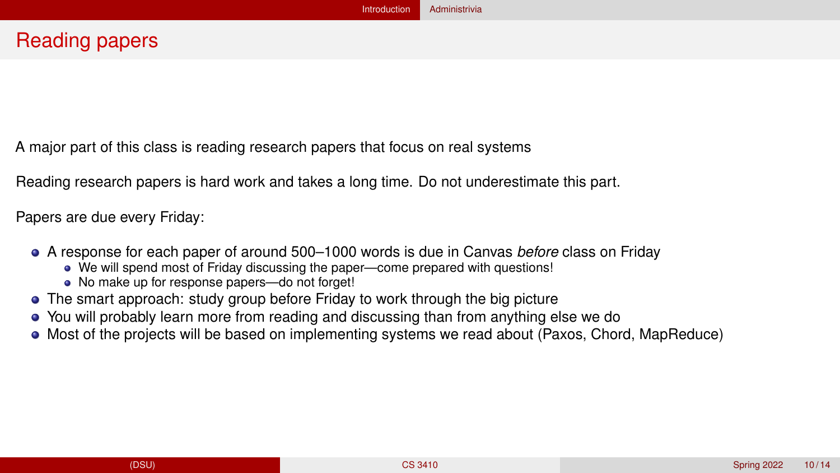A major part of this class is reading research papers that focus on real systems

Reading research papers is hard work and takes a long time. Do not underestimate this part.

Papers are due every Friday:

- A response for each paper of around 500–1000 words is due in Canvas *before* class on Friday
	- We will spend most of Friday discussing the paper—come prepared with questions!
	- No make up for response papers—do not forget!
- The smart approach: study group before Friday to work through the big picture
- You will probably learn more from reading and discussing than from anything else we do
- Most of the projects will be based on implementing systems we read about (Paxos, Chord, MapReduce)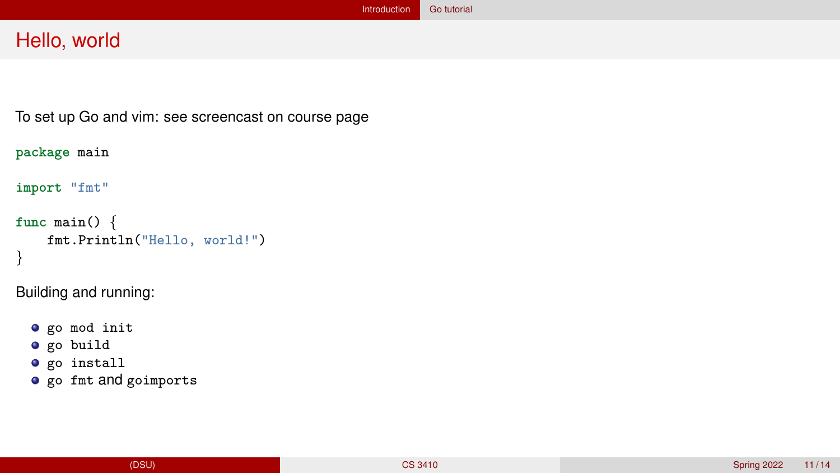## <span id="page-10-0"></span>Hello, world

To set up Go and vim: see screencast on course page

```
package main
```
**import** "fmt"

```
func main() {
    fmt.Println("Hello, world!")
}
```
Building and running:

```
o go mod init
\bullet go build
\bullet go install
o go fmt and goimports
```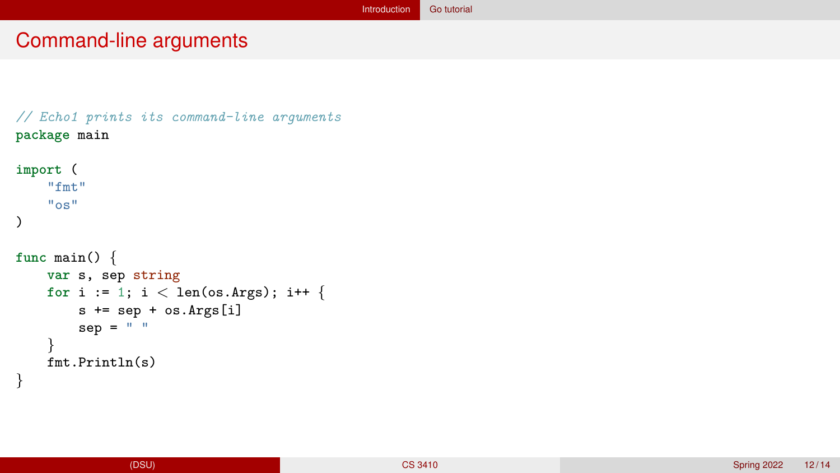# Command-line arguments

```
// Echo1 prints its command-line arguments
package main
import (
    "fmt"
    "os"
)
func main() {
    var s, sep string
    for i := 1; i < len(os. Args); i++ {
        s += sep + os.Args[i]
        sep = " "}
    fmt.Println(s)
}
```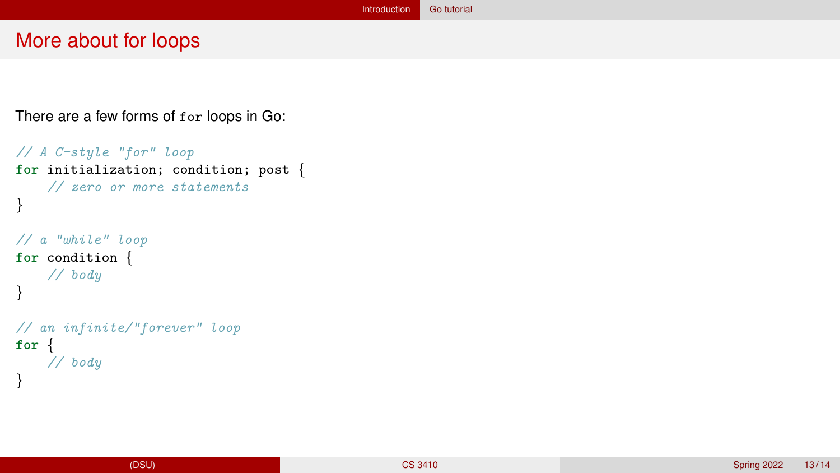#### More about for loops

There are a few forms of for loops in Go:

```
// A C-style "for" loop
for initialization; condition; post {
    // zero or more statements
}
// a "while" loop
for condition {
    // body
}
// an infinite/"forever" loop
for {
    // body
}
```